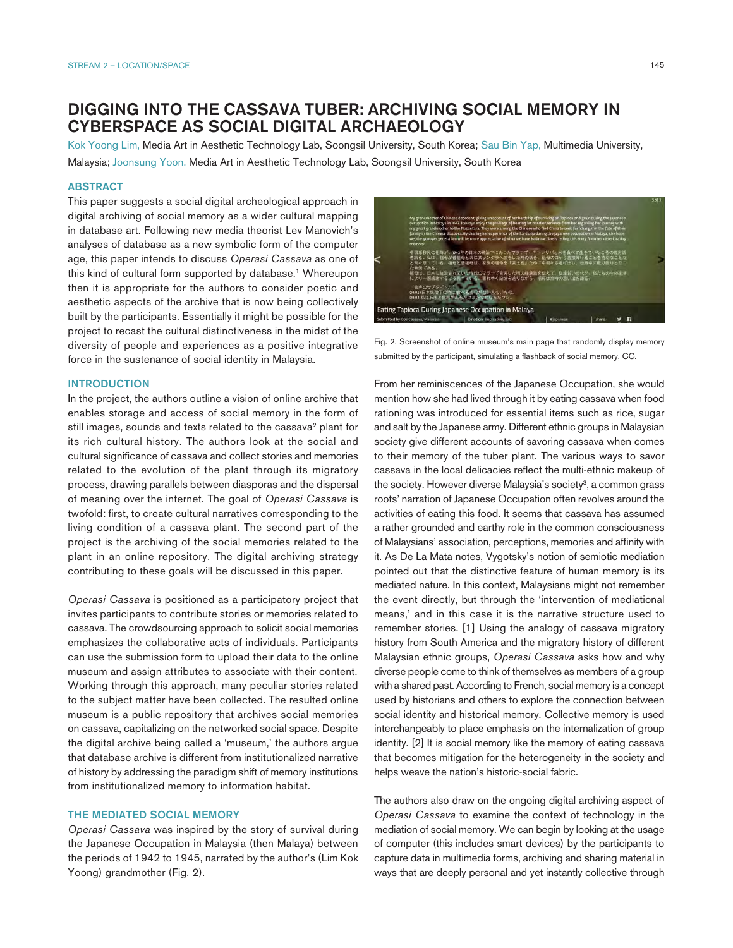# DIGGING INTO THE CASSAVA TUBER: ARCHIVING SOCIAL MEMORY IN CYBERSPACE AS SOCIAL DIGITAL ARCHAEOLOGY

Kok Yoong Lim, Media Art in Aesthetic Technology Lab, Soongsil University, South Korea; Sau Bin Yap, Multimedia University, Malaysia; Joonsung Yoon, Media Art in Aesthetic Technology Lab, Soongsil University, South Korea

## ABSTRACT

This paper suggests a social digital archeological approach in digital archiving of social memory as a wider cultural mapping in database art. Following new media theorist Lev Manovich's analyses of database as a new symbolic form of the computer age, this paper intends to discuss *Operasi Cassava* as one of this kind of cultural form supported by database.<sup>1</sup> Whereupon then it is appropriate for the authors to consider poetic and aesthetic aspects of the archive that is now being collectively built by the participants. Essentially it might be possible for the project to recast the cultural distinctiveness in the midst of the diversity of people and experiences as a positive integrative force in the sustenance of social identity in Malaysia.

#### **INTRODUCTION**

In the project, the authors outline a vision of online archive that enables storage and access of social memory in the form of still images, sounds and texts related to the cassava<sup>2</sup> plant for its rich cultural history. The authors look at the social and cultural significance of cassava and collect stories and memories related to the evolution of the plant through its migratory process, drawing parallels between diasporas and the dispersal of meaning over the internet. The goal of *Operasi Cassava* is twofold: first, to create cultural narratives corresponding to the living condition of a cassava plant. The second part of the project is the archiving of the social memories related to the plant in an online repository. The digital archiving strategy contributing to these goals will be discussed in this paper.

*Operasi Cassava* is positioned as a participatory project that invites participants to contribute stories or memories related to cassava. The crowdsourcing approach to solicit social memories emphasizes the collaborative acts of individuals. Participants can use the submission form to upload their data to the online museum and assign attributes to associate with their content. Working through this approach, many peculiar stories related to the subject matter have been collected. The resulted online museum is a public repository that archives social memories on cassava, capitalizing on the networked social space. Despite the digital archive being called a 'museum,' the authors argue that database archive is different from institutionalized narrative of history by addressing the paradigm shift of memory institutions from institutionalized memory to information habitat.

### THE MEDIATED SOCIAL MEMORY

*Operasi Cassava* was inspired by the story of survival during the Japanese Occupation in Malaysia (then Malaya) between the periods of 1942 to 1945, narrated by the author's (Lim Kok Yoong) grandmother (Fig. 2).



Fig. 2. Screenshot of online museum's main page that randomly display memory submitted by the participant, simulating a flashback of social memory, CC.

From her reminiscences of the Japanese Occupation, she would mention how she had lived through it by eating cassava when food rationing was introduced for essential items such as rice, sugar and salt by the Japanese army. Different ethnic groups in Malaysian society give different accounts of savoring cassava when comes to their memory of the tuber plant. The various ways to savor cassava in the local delicacies reflect the multi-ethnic makeup of the society. However diverse Malaysia's society<sup>3</sup>, a common grass roots' narration of Japanese Occupation often revolves around the activities of eating this food. It seems that cassava has assumed a rather grounded and earthy role in the common consciousness of Malaysians' association, perceptions, memories and affinity with it. As De La Mata notes, Vygotsky's notion of semiotic mediation pointed out that the distinctive feature of human memory is its mediated nature. In this context, Malaysians might not remember the event directly, but through the 'intervention of mediational means,' and in this case it is the narrative structure used to remember stories. [1] Using the analogy of cassava migratory history from South America and the migratory history of different Malaysian ethnic groups, *Operasi Cassava* asks how and why diverse people come to think of themselves as members of a group with a shared past. According to French, social memory is a concept used by historians and others to explore the connection between social identity and historical memory. Collective memory is used interchangeably to place emphasis on the internalization of group identity. [2] It is social memory like the memory of eating cassava that becomes mitigation for the heterogeneity in the society and helps weave the nation's historic-social fabric.

The authors also draw on the ongoing digital archiving aspect of *Operasi Cassava* to examine the context of technology in the mediation of social memory. We can begin by looking at the usage of computer (this includes smart devices) by the participants to capture data in multimedia forms, archiving and sharing material in ways that are deeply personal and yet instantly collective through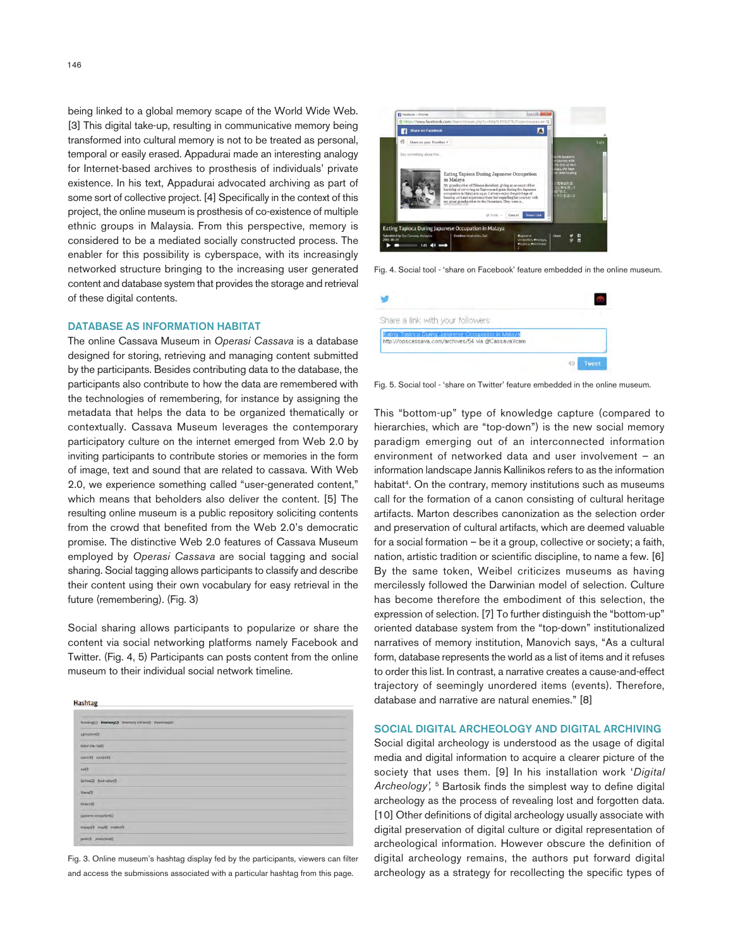being linked to a global memory scape of the World Wide Web. [3] This digital take-up, resulting in communicative memory being transformed into cultural memory is not to be treated as personal, temporal or easily erased. Appadurai made an interesting analogy for Internet-based archives to prosthesis of individuals' private existence. In his text, Appadurai advocated archiving as part of some sort of collective project. [4] Specifically in the context of this project, the online museum is prosthesis of co-existence of multiple ethnic groups in Malaysia. From this perspective, memory is considered to be a mediated socially constructed process. The enabler for this possibility is cyberspace, with its increasingly networked structure bringing to the increasing user generated content and database system that provides the storage and retrieval of these digital contents.

#### DATABASE AS INFORMATION HABITAT

The online Cassava Museum in *Operasi Cassava* is a database designed for storing, retrieving and managing content submitted by the participants. Besides contributing data to the database, the participants also contribute to how the data are remembered with the technologies of remembering, for instance by assigning the metadata that helps the data to be organized thematically or contextually. Cassava Museum leverages the contemporary participatory culture on the internet emerged from Web 2.0 by inviting participants to contribute stories or memories in the form of image, text and sound that are related to cassava. With Web 2.0, we experience something called "user-generated content," which means that beholders also deliver the content. [5] The resulting online museum is a public repository soliciting contents from the crowd that benefited from the Web 2.0's democratic promise. The distinctive Web 2.0 features of Cassava Museum employed by *Operasi Cassava* are social tagging and social sharing. Social tagging allows participants to classify and describe their content using their own vocabulary for easy retrieval in the future (remembering). (Fig. 3)

Social sharing allows participants to popularize or share the content via social networking platforms namely Facebook and Twitter. (Fig. 4, 5) Participants can posts content from the online museum to their individual social network timeline.



Fig. 3. Online museum's hashtag display fed by the participants, viewers can filter and access the submissions associated with a particular hashtag from this page.



Fig. 4. Social tool - 'share on Facebook' feature embedded in the online museum.

| Share a link with your followers                                                                          |              |
|-----------------------------------------------------------------------------------------------------------|--------------|
| Eating Tapioca During Japanese Occupation in Malaya<br>http://opscassava.com/archives/54 via @CassavaYcam |              |
| 49                                                                                                        | <b>Luppi</b> |

Fig. 5. Social tool - 'share on Twitter' feature embedded in the online museum.

This "bottom-up" type of knowledge capture (compared to hierarchies, which are "top-down") is the new social memory paradigm emerging out of an interconnected information environment of networked data and user involvement – an information landscape Jannis Kallinikos refers to as the information habitat<sup>4</sup>. On the contrary, memory institutions such as museums call for the formation of a canon consisting of cultural heritage artifacts. Marton describes canonization as the selection order and preservation of cultural artifacts, which are deemed valuable for a social formation – be it a group, collective or society; a faith, nation, artistic tradition or scientific discipline, to name a few. [6] By the same token, Weibel criticizes museums as having mercilessly followed the Darwinian model of selection. Culture has become therefore the embodiment of this selection, the expression of selection. [7] To further distinguish the "bottom-up" oriented database system from the "top-down" institutionalized narratives of memory institution, Manovich says, "As a cultural form, database represents the world as a list of items and it refuses to order this list. In contrast, a narrative creates a cause-and-effect trajectory of seemingly unordered items (events). Therefore, database and narrative are natural enemies." [8]

## SOCIAL DIGITAL ARCHEOLOGY AND DIGITAL ARCHIVING

Social digital archeology is understood as the usage of digital media and digital information to acquire a clearer picture of the society that uses them. [9] In his installation work '*Digital Archeology',* 5 Bartosik finds the simplest way to define digital archeology as the process of revealing lost and forgotten data. [10] Other definitions of digital archeology usually associate with digital preservation of digital culture or digital representation of archeological information. However obscure the definition of digital archeology remains, the authors put forward digital archeology as a strategy for recollecting the specific types of